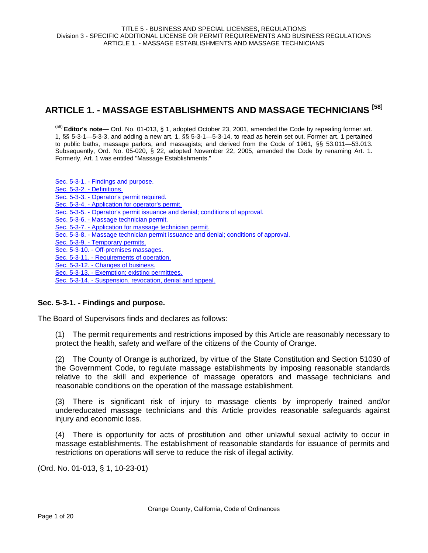# **ARTICLE 1. - MASSAGE ESTABLISHMENTS AND MASSAGE TECHNICIANS [58]**

(58) **Editor's note—** Ord. No. 01-013, § 1, adopted October 23, 2001, amended the Code by repealing former art. 1, §§ 5-3-1—5-3-3, and adding a new art. 1, §§ 5-3-1—5-3-14, to read as herein set out. Former art. 1 pertained to public baths, massage parlors, and massagists; and derived from the Code of 1961, §§ 53.011—53.013. Subsequently, Ord. No. 05-020, § 22, adopted November 22, 2005, amended the Code by renaming Art. 1. Formerly, Art. 1 was entitled "Massage Establishments."

Sec. 5-3-1. - Findings and purpose. Sec. 5-3-2. - Definitions. Sec. 5-3-3. - Operator's permit required. Sec. 5-3-4. - Application for operator's permit. Sec. 5-3-5. - Operator's permit issuance and denial; conditions of approval. Sec. 5-3-6. - Massage technician permit. Sec. 5-3-7. - Application for massage technician permit. Sec. 5-3-8. - Massage technician permit issuance and denial; conditions of approval. Sec. 5-3-9. - Temporary permits. Sec. 5-3-10. - Off-premises massages. Sec. 5-3-11. - Requirements of operation. Sec. 5-3-12. - Changes of business. Sec. 5-3-13. - Exemption; existing permittees. Sec. 5-3-14. - Suspension, revocation, denial and appeal.

# **Sec. 5-3-1. - Findings and purpose.**

The Board of Supervisors finds and declares as follows:

(1) The permit requirements and restrictions imposed by this Article are reasonably necessary to protect the health, safety and welfare of the citizens of the County of Orange.

(2) The County of Orange is authorized, by virtue of the State Constitution and Section 51030 of the Government Code, to regulate massage establishments by imposing reasonable standards relative to the skill and experience of massage operators and massage technicians and reasonable conditions on the operation of the massage establishment.

(3) There is significant risk of injury to massage clients by improperly trained and/or undereducated massage technicians and this Article provides reasonable safeguards against injury and economic loss.

(4) There is opportunity for acts of prostitution and other unlawful sexual activity to occur in massage establishments. The establishment of reasonable standards for issuance of permits and restrictions on operations will serve to reduce the risk of illegal activity.

(Ord. No. 01-013, § 1, 10-23-01)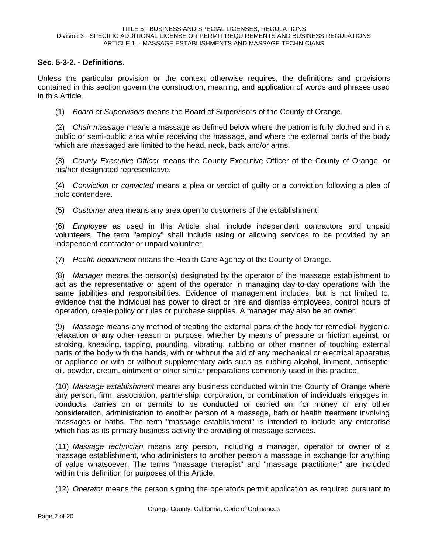# **Sec. 5-3-2. - Definitions.**

Unless the particular provision or the context otherwise requires, the definitions and provisions contained in this section govern the construction, meaning, and application of words and phrases used in this Article.

(1) *Board of Supervisors* means the Board of Supervisors of the County of Orange.

(2) *Chair massage* means a massage as defined below where the patron is fully clothed and in a public or semi-public area while receiving the massage, and where the external parts of the body which are massaged are limited to the head, neck, back and/or arms.

(3) *County Executive Officer* means the County Executive Officer of the County of Orange, or his/her designated representative.

(4) *Conviction* or *convicted* means a plea or verdict of guilty or a conviction following a plea of nolo contendere.

(5) *Customer area* means any area open to customers of the establishment.

(6) *Employee* as used in this Article shall include independent contractors and unpaid volunteers. The term "employ" shall include using or allowing services to be provided by an independent contractor or unpaid volunteer.

(7) *Health department* means the Health Care Agency of the County of Orange.

(8) *Manager* means the person(s) designated by the operator of the massage establishment to act as the representative or agent of the operator in managing day-to-day operations with the same liabilities and responsibilities. Evidence of management includes, but is not limited to, evidence that the individual has power to direct or hire and dismiss employees, control hours of operation, create policy or rules or purchase supplies. A manager may also be an owner.

(9) *Massage* means any method of treating the external parts of the body for remedial, hygienic, relaxation or any other reason or purpose, whether by means of pressure or friction against, or stroking, kneading, tapping, pounding, vibrating, rubbing or other manner of touching external parts of the body with the hands, with or without the aid of any mechanical or electrical apparatus or appliance or with or without supplementary aids such as rubbing alcohol, liniment, antiseptic, oil, powder, cream, ointment or other similar preparations commonly used in this practice.

(10) *Massage establishment* means any business conducted within the County of Orange where any person, firm, association, partnership, corporation, or combination of individuals engages in, conducts, carries on or permits to be conducted or carried on, for money or any other consideration, administration to another person of a massage, bath or health treatment involving massages or baths. The term "massage establishment" is intended to include any enterprise which has as its primary business activity the providing of massage services.

(11) *Massage technician* means any person, including a manager, operator or owner of a massage establishment, who administers to another person a massage in exchange for anything of value whatsoever. The terms "massage therapist" and "massage practitioner" are included within this definition for purposes of this Article.

(12) *Operator* means the person signing the operator's permit application as required pursuant to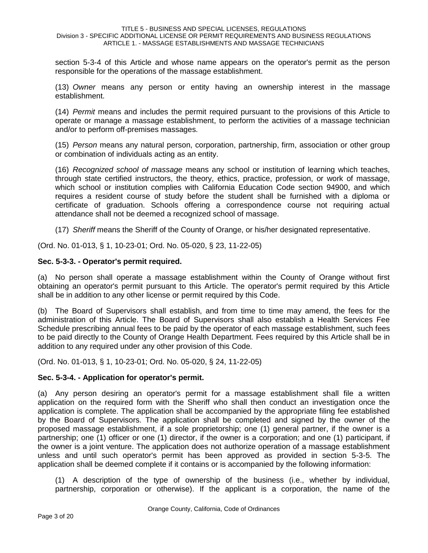section 5-3-4 of this Article and whose name appears on the operator's permit as the person responsible for the operations of the massage establishment.

(13) *Owner* means any person or entity having an ownership interest in the massage establishment.

(14) *Permit* means and includes the permit required pursuant to the provisions of this Article to operate or manage a massage establishment, to perform the activities of a massage technician and/or to perform off-premises massages.

(15) *Person* means any natural person, corporation, partnership, firm, association or other group or combination of individuals acting as an entity.

(16) *Recognized school of massage* means any school or institution of learning which teaches, through state certified instructors, the theory, ethics, practice, profession, or work of massage, which school or institution complies with California Education Code section 94900, and which requires a resident course of study before the student shall be furnished with a diploma or certificate of graduation. Schools offering a correspondence course not requiring actual attendance shall not be deemed a recognized school of massage.

(17) *Sheriff* means the Sheriff of the County of Orange, or his/her designated representative.

(Ord. No. 01-013, § 1, 10-23-01; Ord. No. 05-020, § 23, 11-22-05)

# **Sec. 5-3-3. - Operator's permit required.**

(a) No person shall operate a massage establishment within the County of Orange without first obtaining an operator's permit pursuant to this Article. The operator's permit required by this Article shall be in addition to any other license or permit required by this Code.

(b) The Board of Supervisors shall establish, and from time to time may amend, the fees for the administration of this Article. The Board of Supervisors shall also establish a Health Services Fee Schedule prescribing annual fees to be paid by the operator of each massage establishment, such fees to be paid directly to the County of Orange Health Department. Fees required by this Article shall be in addition to any required under any other provision of this Code.

(Ord. No. 01-013, § 1, 10-23-01; Ord. No. 05-020, § 24, 11-22-05)

# **Sec. 5-3-4. - Application for operator's permit.**

(a) Any person desiring an operator's permit for a massage establishment shall file a written application on the required form with the Sheriff who shall then conduct an investigation once the application is complete. The application shall be accompanied by the appropriate filing fee established by the Board of Supervisors. The application shall be completed and signed by the owner of the proposed massage establishment, if a sole proprietorship; one (1) general partner, if the owner is a partnership; one (1) officer or one (1) director, if the owner is a corporation; and one (1) participant, if the owner is a joint venture. The application does not authorize operation of a massage establishment unless and until such operator's permit has been approved as provided in section 5-3-5. The application shall be deemed complete if it contains or is accompanied by the following information:

(1) A description of the type of ownership of the business (i.e., whether by individual, partnership, corporation or otherwise). If the applicant is a corporation, the name of the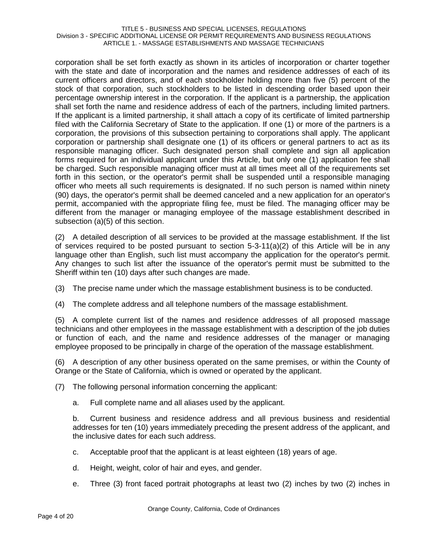#### TITLE 5 - BUSINESS AND SPECIAL LICENSES, REGULATIONS Division 3 - SPECIFIC ADDITIONAL LICENSE OR PERMIT REQUIREMENTS AND BUSINESS REGULATIONS ARTICLE 1. - MASSAGE ESTABLISHMENTS AND MASSAGE TECHNICIANS

corporation shall be set forth exactly as shown in its articles of incorporation or charter together with the state and date of incorporation and the names and residence addresses of each of its current officers and directors, and of each stockholder holding more than five (5) percent of the stock of that corporation, such stockholders to be listed in descending order based upon their percentage ownership interest in the corporation. If the applicant is a partnership, the application shall set forth the name and residence address of each of the partners, including limited partners. If the applicant is a limited partnership, it shall attach a copy of its certificate of limited partnership filed with the California Secretary of State to the application. If one (1) or more of the partners is a corporation, the provisions of this subsection pertaining to corporations shall apply. The applicant corporation or partnership shall designate one (1) of its officers or general partners to act as its responsible managing officer. Such designated person shall complete and sign all application forms required for an individual applicant under this Article, but only one (1) application fee shall be charged. Such responsible managing officer must at all times meet all of the requirements set forth in this section, or the operator's permit shall be suspended until a responsible managing officer who meets all such requirements is designated. If no such person is named within ninety (90) days, the operator's permit shall be deemed canceled and a new application for an operator's permit, accompanied with the appropriate filing fee, must be filed. The managing officer may be different from the manager or managing employee of the massage establishment described in subsection (a)(5) of this section.

(2) A detailed description of all services to be provided at the massage establishment. If the list of services required to be posted pursuant to section  $5-3-11(a)(2)$  of this Article will be in any language other than English, such list must accompany the application for the operator's permit. Any changes to such list after the issuance of the operator's permit must be submitted to the Sheriff within ten (10) days after such changes are made.

- (3) The precise name under which the massage establishment business is to be conducted.
- (4) The complete address and all telephone numbers of the massage establishment.

(5) A complete current list of the names and residence addresses of all proposed massage technicians and other employees in the massage establishment with a description of the job duties or function of each, and the name and residence addresses of the manager or managing employee proposed to be principally in charge of the operation of the massage establishment.

(6) A description of any other business operated on the same premises, or within the County of Orange or the State of California, which is owned or operated by the applicant.

- (7) The following personal information concerning the applicant:
	- a. Full complete name and all aliases used by the applicant.

b. Current business and residence address and all previous business and residential addresses for ten (10) years immediately preceding the present address of the applicant, and the inclusive dates for each such address.

- c. Acceptable proof that the applicant is at least eighteen (18) years of age.
- d. Height, weight, color of hair and eyes, and gender.
- e. Three (3) front faced portrait photographs at least two (2) inches by two (2) inches in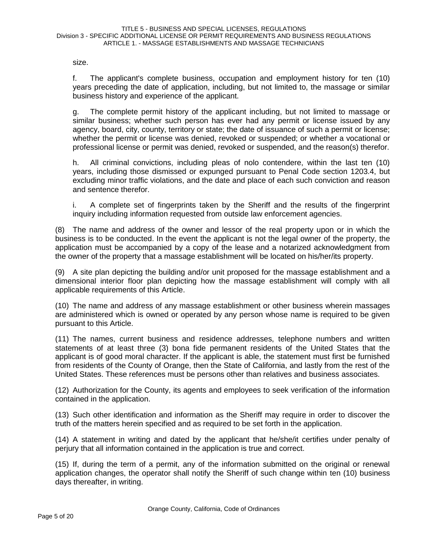size.

f. The applicant's complete business, occupation and employment history for ten (10) years preceding the date of application, including, but not limited to, the massage or similar business history and experience of the applicant.

g. The complete permit history of the applicant including, but not limited to massage or similar business; whether such person has ever had any permit or license issued by any agency, board, city, county, territory or state; the date of issuance of such a permit or license; whether the permit or license was denied, revoked or suspended; or whether a vocational or professional license or permit was denied, revoked or suspended, and the reason(s) therefor.

h. All criminal convictions, including pleas of nolo contendere, within the last ten (10) years, including those dismissed or expunged pursuant to Penal Code section 1203.4, but excluding minor traffic violations, and the date and place of each such conviction and reason and sentence therefor.

i. A complete set of fingerprints taken by the Sheriff and the results of the fingerprint inquiry including information requested from outside law enforcement agencies.

(8) The name and address of the owner and lessor of the real property upon or in which the business is to be conducted. In the event the applicant is not the legal owner of the property, the application must be accompanied by a copy of the lease and a notarized acknowledgment from the owner of the property that a massage establishment will be located on his/her/its property.

(9) A site plan depicting the building and/or unit proposed for the massage establishment and a dimensional interior floor plan depicting how the massage establishment will comply with all applicable requirements of this Article.

(10) The name and address of any massage establishment or other business wherein massages are administered which is owned or operated by any person whose name is required to be given pursuant to this Article.

(11) The names, current business and residence addresses, telephone numbers and written statements of at least three (3) bona fide permanent residents of the United States that the applicant is of good moral character. If the applicant is able, the statement must first be furnished from residents of the County of Orange, then the State of California, and lastly from the rest of the United States. These references must be persons other than relatives and business associates.

(12) Authorization for the County, its agents and employees to seek verification of the information contained in the application.

(13) Such other identification and information as the Sheriff may require in order to discover the truth of the matters herein specified and as required to be set forth in the application.

(14) A statement in writing and dated by the applicant that he/she/it certifies under penalty of perjury that all information contained in the application is true and correct.

(15) If, during the term of a permit, any of the information submitted on the original or renewal application changes, the operator shall notify the Sheriff of such change within ten (10) business days thereafter, in writing.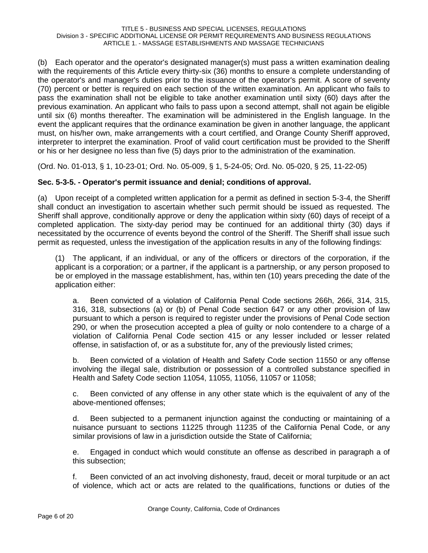(b) Each operator and the operator's designated manager(s) must pass a written examination dealing with the requirements of this Article every thirty-six (36) months to ensure a complete understanding of the operator's and manager's duties prior to the issuance of the operator's permit. A score of seventy (70) percent or better is required on each section of the written examination. An applicant who fails to pass the examination shall not be eligible to take another examination until sixty (60) days after the previous examination. An applicant who fails to pass upon a second attempt, shall not again be eligible until six (6) months thereafter. The examination will be administered in the English language. In the event the applicant requires that the ordinance examination be given in another language, the applicant must, on his/her own, make arrangements with a court certified, and Orange County Sheriff approved, interpreter to interpret the examination. Proof of valid court certification must be provided to the Sheriff or his or her designee no less than five (5) days prior to the administration of the examination.

(Ord. No. 01-013, § 1, 10-23-01; Ord. No. 05-009, § 1, 5-24-05; Ord. No. 05-020, § 25, 11-22-05)

# **Sec. 5-3-5. - Operator's permit issuance and denial; conditions of approval.**

(a) Upon receipt of a completed written application for a permit as defined in section 5-3-4, the Sheriff shall conduct an investigation to ascertain whether such permit should be issued as requested. The Sheriff shall approve, conditionally approve or deny the application within sixty (60) days of receipt of a completed application. The sixty-day period may be continued for an additional thirty (30) days if necessitated by the occurrence of events beyond the control of the Sheriff. The Sheriff shall issue such permit as requested, unless the investigation of the application results in any of the following findings:

(1) The applicant, if an individual, or any of the officers or directors of the corporation, if the applicant is a corporation; or a partner, if the applicant is a partnership, or any person proposed to be or employed in the massage establishment, has, within ten (10) years preceding the date of the application either:

a. Been convicted of a violation of California Penal Code sections 266h, 266i, 314, 315, 316, 318, subsections (a) or (b) of Penal Code section 647 or any other provision of law pursuant to which a person is required to register under the provisions of Penal Code section 290, or when the prosecution accepted a plea of guilty or nolo contendere to a charge of a violation of California Penal Code section 415 or any lesser included or lesser related offense, in satisfaction of, or as a substitute for, any of the previously listed crimes;

b. Been convicted of a violation of Health and Safety Code section 11550 or any offense involving the illegal sale, distribution or possession of a controlled substance specified in Health and Safety Code section 11054, 11055, 11056, 11057 or 11058;

c. Been convicted of any offense in any other state which is the equivalent of any of the above-mentioned offenses;

d. Been subjected to a permanent injunction against the conducting or maintaining of a nuisance pursuant to sections 11225 through 11235 of the California Penal Code, or any similar provisions of law in a jurisdiction outside the State of California;

e. Engaged in conduct which would constitute an offense as described in paragraph a of this subsection;

f. Been convicted of an act involving dishonesty, fraud, deceit or moral turpitude or an act of violence, which act or acts are related to the qualifications, functions or duties of the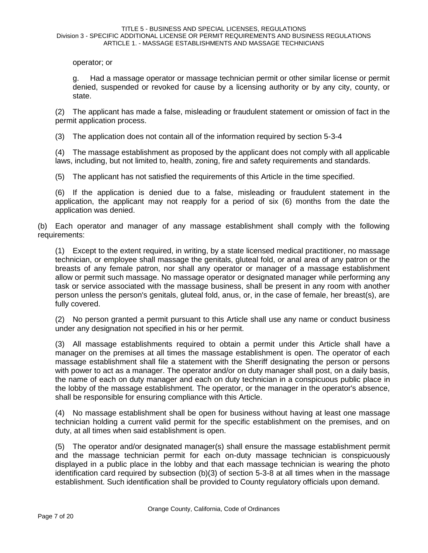operator; or

g. Had a massage operator or massage technician permit or other similar license or permit denied, suspended or revoked for cause by a licensing authority or by any city, county, or state.

(2) The applicant has made a false, misleading or fraudulent statement or omission of fact in the permit application process.

(3) The application does not contain all of the information required by section 5-3-4

(4) The massage establishment as proposed by the applicant does not comply with all applicable laws, including, but not limited to, health, zoning, fire and safety requirements and standards.

(5) The applicant has not satisfied the requirements of this Article in the time specified.

(6) If the application is denied due to a false, misleading or fraudulent statement in the application, the applicant may not reapply for a period of six (6) months from the date the application was denied.

(b) Each operator and manager of any massage establishment shall comply with the following requirements:

(1) Except to the extent required, in writing, by a state licensed medical practitioner, no massage technician, or employee shall massage the genitals, gluteal fold, or anal area of any patron or the breasts of any female patron, nor shall any operator or manager of a massage establishment allow or permit such massage. No massage operator or designated manager while performing any task or service associated with the massage business, shall be present in any room with another person unless the person's genitals, gluteal fold, anus, or, in the case of female, her breast(s), are fully covered.

(2) No person granted a permit pursuant to this Article shall use any name or conduct business under any designation not specified in his or her permit.

(3) All massage establishments required to obtain a permit under this Article shall have a manager on the premises at all times the massage establishment is open. The operator of each massage establishment shall file a statement with the Sheriff designating the person or persons with power to act as a manager. The operator and/or on duty manager shall post, on a daily basis, the name of each on duty manager and each on duty technician in a conspicuous public place in the lobby of the massage establishment. The operator, or the manager in the operator's absence, shall be responsible for ensuring compliance with this Article.

(4) No massage establishment shall be open for business without having at least one massage technician holding a current valid permit for the specific establishment on the premises, and on duty, at all times when said establishment is open.

(5) The operator and/or designated manager(s) shall ensure the massage establishment permit and the massage technician permit for each on-duty massage technician is conspicuously displayed in a public place in the lobby and that each massage technician is wearing the photo identification card required by subsection (b)(3) of section 5-3-8 at all times when in the massage establishment. Such identification shall be provided to County regulatory officials upon demand.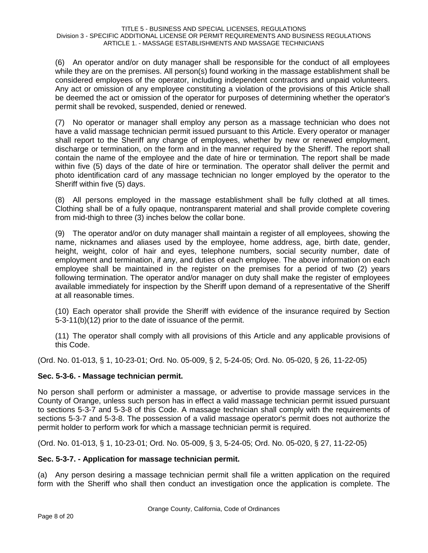(6) An operator and/or on duty manager shall be responsible for the conduct of all employees while they are on the premises. All person(s) found working in the massage establishment shall be considered employees of the operator, including independent contractors and unpaid volunteers. Any act or omission of any employee constituting a violation of the provisions of this Article shall be deemed the act or omission of the operator for purposes of determining whether the operator's permit shall be revoked, suspended, denied or renewed.

(7) No operator or manager shall employ any person as a massage technician who does not have a valid massage technician permit issued pursuant to this Article. Every operator or manager shall report to the Sheriff any change of employees, whether by new or renewed employment, discharge or termination, on the form and in the manner required by the Sheriff. The report shall contain the name of the employee and the date of hire or termination. The report shall be made within five (5) days of the date of hire or termination. The operator shall deliver the permit and photo identification card of any massage technician no longer employed by the operator to the Sheriff within five (5) days.

(8) All persons employed in the massage establishment shall be fully clothed at all times. Clothing shall be of a fully opaque, nontransparent material and shall provide complete covering from mid-thigh to three (3) inches below the collar bone.

(9) The operator and/or on duty manager shall maintain a register of all employees, showing the name, nicknames and aliases used by the employee, home address, age, birth date, gender, height, weight, color of hair and eyes, telephone numbers, social security number, date of employment and termination, if any, and duties of each employee. The above information on each employee shall be maintained in the register on the premises for a period of two (2) years following termination. The operator and/or manager on duty shall make the register of employees available immediately for inspection by the Sheriff upon demand of a representative of the Sheriff at all reasonable times.

(10) Each operator shall provide the Sheriff with evidence of the insurance required by Section 5-3-11(b)(12) prior to the date of issuance of the permit.

(11) The operator shall comply with all provisions of this Article and any applicable provisions of this Code.

(Ord. No. 01-013, § 1, 10-23-01; Ord. No. 05-009, § 2, 5-24-05; Ord. No. 05-020, § 26, 11-22-05)

# **Sec. 5-3-6. - Massage technician permit.**

No person shall perform or administer a massage, or advertise to provide massage services in the County of Orange, unless such person has in effect a valid massage technician permit issued pursuant to sections 5-3-7 and 5-3-8 of this Code. A massage technician shall comply with the requirements of sections 5-3-7 and 5-3-8. The possession of a valid massage operator's permit does not authorize the permit holder to perform work for which a massage technician permit is required.

(Ord. No. 01-013, § 1, 10-23-01; Ord. No. 05-009, § 3, 5-24-05; Ord. No. 05-020, § 27, 11-22-05)

# **Sec. 5-3-7. - Application for massage technician permit.**

(a) Any person desiring a massage technician permit shall file a written application on the required form with the Sheriff who shall then conduct an investigation once the application is complete. The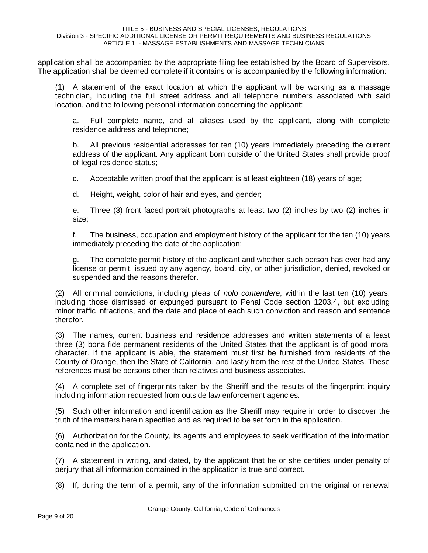application shall be accompanied by the appropriate filing fee established by the Board of Supervisors. The application shall be deemed complete if it contains or is accompanied by the following information:

(1) A statement of the exact location at which the applicant will be working as a massage technician, including the full street address and all telephone numbers associated with said location, and the following personal information concerning the applicant:

a. Full complete name, and all aliases used by the applicant, along with complete residence address and telephone;

b. All previous residential addresses for ten (10) years immediately preceding the current address of the applicant. Any applicant born outside of the United States shall provide proof of legal residence status;

c. Acceptable written proof that the applicant is at least eighteen (18) years of age;

d. Height, weight, color of hair and eyes, and gender;

e. Three (3) front faced portrait photographs at least two (2) inches by two (2) inches in size;

f. The business, occupation and employment history of the applicant for the ten (10) years immediately preceding the date of the application;

g. The complete permit history of the applicant and whether such person has ever had any license or permit, issued by any agency, board, city, or other jurisdiction, denied, revoked or suspended and the reasons therefor.

(2) All criminal convictions, including pleas of *nolo contendere*, within the last ten (10) years, including those dismissed or expunged pursuant to Penal Code section 1203.4, but excluding minor traffic infractions, and the date and place of each such conviction and reason and sentence therefor.

(3) The names, current business and residence addresses and written statements of a least three (3) bona fide permanent residents of the United States that the applicant is of good moral character. If the applicant is able, the statement must first be furnished from residents of the County of Orange, then the State of California, and lastly from the rest of the United States. These references must be persons other than relatives and business associates.

(4) A complete set of fingerprints taken by the Sheriff and the results of the fingerprint inquiry including information requested from outside law enforcement agencies.

(5) Such other information and identification as the Sheriff may require in order to discover the truth of the matters herein specified and as required to be set forth in the application.

(6) Authorization for the County, its agents and employees to seek verification of the information contained in the application.

(7) A statement in writing, and dated, by the applicant that he or she certifies under penalty of perjury that all information contained in the application is true and correct.

(8) If, during the term of a permit, any of the information submitted on the original or renewal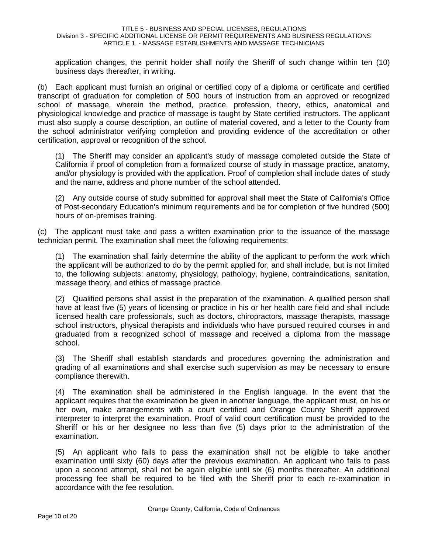application changes, the permit holder shall notify the Sheriff of such change within ten (10) business days thereafter, in writing.

(b) Each applicant must furnish an original or certified copy of a diploma or certificate and certified transcript of graduation for completion of 500 hours of instruction from an approved or recognized school of massage, wherein the method, practice, profession, theory, ethics, anatomical and physiological knowledge and practice of massage is taught by State certified instructors. The applicant must also supply a course description, an outline of material covered, and a letter to the County from the school administrator verifying completion and providing evidence of the accreditation or other certification, approval or recognition of the school.

(1) The Sheriff may consider an applicant's study of massage completed outside the State of California if proof of completion from a formalized course of study in massage practice, anatomy, and/or physiology is provided with the application. Proof of completion shall include dates of study and the name, address and phone number of the school attended.

(2) Any outside course of study submitted for approval shall meet the State of California's Office of Post-secondary Education's minimum requirements and be for completion of five hundred (500) hours of on-premises training.

(c) The applicant must take and pass a written examination prior to the issuance of the massage technician permit. The examination shall meet the following requirements:

(1) The examination shall fairly determine the ability of the applicant to perform the work which the applicant will be authorized to do by the permit applied for, and shall include, but is not limited to, the following subjects: anatomy, physiology, pathology, hygiene, contraindications, sanitation, massage theory, and ethics of massage practice.

(2) Qualified persons shall assist in the preparation of the examination. A qualified person shall have at least five (5) years of licensing or practice in his or her health care field and shall include licensed health care professionals, such as doctors, chiropractors, massage therapists, massage school instructors, physical therapists and individuals who have pursued required courses in and graduated from a recognized school of massage and received a diploma from the massage school.

(3) The Sheriff shall establish standards and procedures governing the administration and grading of all examinations and shall exercise such supervision as may be necessary to ensure compliance therewith.

(4) The examination shall be administered in the English language. In the event that the applicant requires that the examination be given in another language, the applicant must, on his or her own, make arrangements with a court certified and Orange County Sheriff approved interpreter to interpret the examination. Proof of valid court certification must be provided to the Sheriff or his or her designee no less than five (5) days prior to the administration of the examination.

(5) An applicant who fails to pass the examination shall not be eligible to take another examination until sixty (60) days after the previous examination. An applicant who fails to pass upon a second attempt, shall not be again eligible until six (6) months thereafter. An additional processing fee shall be required to be filed with the Sheriff prior to each re-examination in accordance with the fee resolution.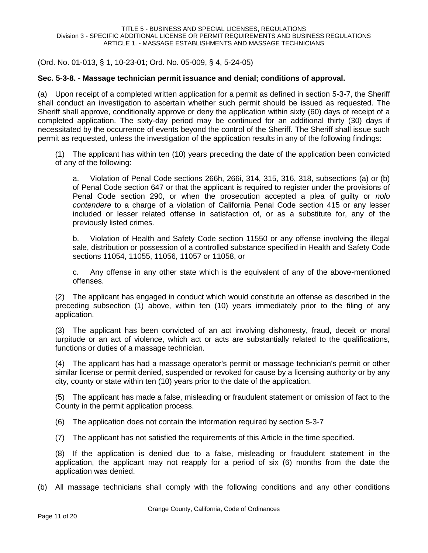(Ord. No. 01-013, § 1, 10-23-01; Ord. No. 05-009, § 4, 5-24-05)

## **Sec. 5-3-8. - Massage technician permit issuance and denial; conditions of approval.**

(a) Upon receipt of a completed written application for a permit as defined in section 5-3-7, the Sheriff shall conduct an investigation to ascertain whether such permit should be issued as requested. The Sheriff shall approve, conditionally approve or deny the application within sixty (60) days of receipt of a completed application. The sixty-day period may be continued for an additional thirty (30) days if necessitated by the occurrence of events beyond the control of the Sheriff. The Sheriff shall issue such permit as requested, unless the investigation of the application results in any of the following findings:

(1) The applicant has within ten (10) years preceding the date of the application been convicted of any of the following:

a. Violation of Penal Code sections 266h, 266i, 314, 315, 316, 318, subsections (a) or (b) of Penal Code section 647 or that the applicant is required to register under the provisions of Penal Code section 290, or when the prosecution accepted a plea of guilty or *nolo contendere* to a charge of a violation of California Penal Code section 415 or any lesser included or lesser related offense in satisfaction of, or as a substitute for, any of the previously listed crimes.

b. Violation of Health and Safety Code section 11550 or any offense involving the illegal sale, distribution or possession of a controlled substance specified in Health and Safety Code sections 11054, 11055, 11056, 11057 or 11058, or

c. Any offense in any other state which is the equivalent of any of the above-mentioned offenses.

(2) The applicant has engaged in conduct which would constitute an offense as described in the preceding subsection (1) above, within ten (10) years immediately prior to the filing of any application.

(3) The applicant has been convicted of an act involving dishonesty, fraud, deceit or moral turpitude or an act of violence, which act or acts are substantially related to the qualifications, functions or duties of a massage technician.

(4) The applicant has had a massage operator's permit or massage technician's permit or other similar license or permit denied, suspended or revoked for cause by a licensing authority or by any city, county or state within ten (10) years prior to the date of the application.

(5) The applicant has made a false, misleading or fraudulent statement or omission of fact to the County in the permit application process.

(6) The application does not contain the information required by section 5-3-7

(7) The applicant has not satisfied the requirements of this Article in the time specified.

(8) If the application is denied due to a false, misleading or fraudulent statement in the application, the applicant may not reapply for a period of six (6) months from the date the application was denied.

(b) All massage technicians shall comply with the following conditions and any other conditions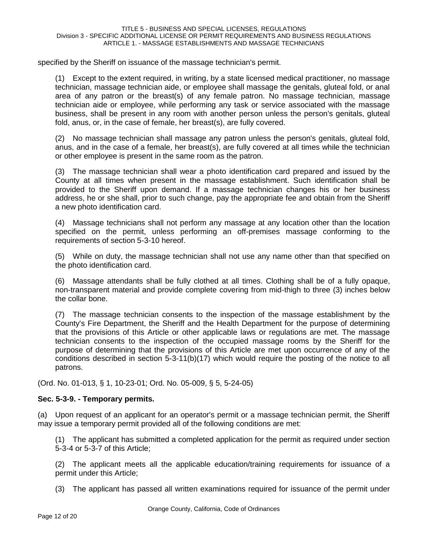specified by the Sheriff on issuance of the massage technician's permit.

(1) Except to the extent required, in writing, by a state licensed medical practitioner, no massage technician, massage technician aide, or employee shall massage the genitals, gluteal fold, or anal area of any patron or the breast(s) of any female patron. No massage technician, massage technician aide or employee, while performing any task or service associated with the massage business, shall be present in any room with another person unless the person's genitals, gluteal fold, anus, or, in the case of female, her breast(s), are fully covered.

(2) No massage technician shall massage any patron unless the person's genitals, gluteal fold, anus, and in the case of a female, her breast(s), are fully covered at all times while the technician or other employee is present in the same room as the patron.

(3) The massage technician shall wear a photo identification card prepared and issued by the County at all times when present in the massage establishment. Such identification shall be provided to the Sheriff upon demand. If a massage technician changes his or her business address, he or she shall, prior to such change, pay the appropriate fee and obtain from the Sheriff a new photo identification card.

(4) Massage technicians shall not perform any massage at any location other than the location specified on the permit, unless performing an off-premises massage conforming to the requirements of section 5-3-10 hereof.

(5) While on duty, the massage technician shall not use any name other than that specified on the photo identification card.

(6) Massage attendants shall be fully clothed at all times. Clothing shall be of a fully opaque, non-transparent material and provide complete covering from mid-thigh to three (3) inches below the collar bone.

(7) The massage technician consents to the inspection of the massage establishment by the County's Fire Department, the Sheriff and the Health Department for the purpose of determining that the provisions of this Article or other applicable laws or regulations are met. The massage technician consents to the inspection of the occupied massage rooms by the Sheriff for the purpose of determining that the provisions of this Article are met upon occurrence of any of the conditions described in section 5-3-11(b)(17) which would require the posting of the notice to all patrons.

(Ord. No. 01-013, § 1, 10-23-01; Ord. No. 05-009, § 5, 5-24-05)

# **Sec. 5-3-9. - Temporary permits.**

(a) Upon request of an applicant for an operator's permit or a massage technician permit, the Sheriff may issue a temporary permit provided all of the following conditions are met:

(1) The applicant has submitted a completed application for the permit as required under section 5-3-4 or 5-3-7 of this Article;

(2) The applicant meets all the applicable education/training requirements for issuance of a permit under this Article;

(3) The applicant has passed all written examinations required for issuance of the permit under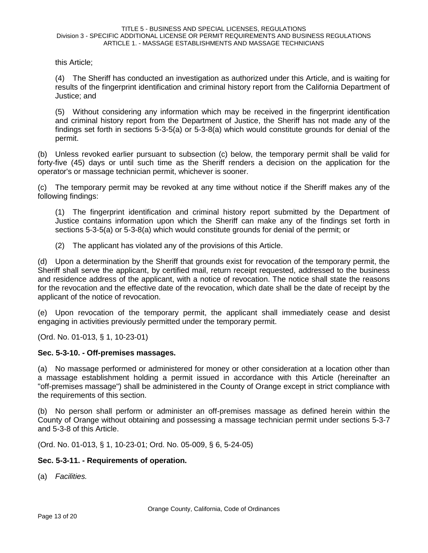this Article;

(4) The Sheriff has conducted an investigation as authorized under this Article, and is waiting for results of the fingerprint identification and criminal history report from the California Department of Justice; and

(5) Without considering any information which may be received in the fingerprint identification and criminal history report from the Department of Justice, the Sheriff has not made any of the findings set forth in sections 5-3-5(a) or 5-3-8(a) which would constitute grounds for denial of the permit.

(b) Unless revoked earlier pursuant to subsection (c) below, the temporary permit shall be valid for forty-five (45) days or until such time as the Sheriff renders a decision on the application for the operator's or massage technician permit, whichever is sooner.

(c) The temporary permit may be revoked at any time without notice if the Sheriff makes any of the following findings:

(1) The fingerprint identification and criminal history report submitted by the Department of Justice contains information upon which the Sheriff can make any of the findings set forth in sections 5-3-5(a) or 5-3-8(a) which would constitute grounds for denial of the permit; or

(2) The applicant has violated any of the provisions of this Article.

(d) Upon a determination by the Sheriff that grounds exist for revocation of the temporary permit, the Sheriff shall serve the applicant, by certified mail, return receipt requested, addressed to the business and residence address of the applicant, with a notice of revocation. The notice shall state the reasons for the revocation and the effective date of the revocation, which date shall be the date of receipt by the applicant of the notice of revocation.

(e) Upon revocation of the temporary permit, the applicant shall immediately cease and desist engaging in activities previously permitted under the temporary permit.

(Ord. No. 01-013, § 1, 10-23-01)

## **Sec. 5-3-10. - Off-premises massages.**

(a) No massage performed or administered for money or other consideration at a location other than a massage establishment holding a permit issued in accordance with this Article (hereinafter an "off-premises massage") shall be administered in the County of Orange except in strict compliance with the requirements of this section.

(b) No person shall perform or administer an off-premises massage as defined herein within the County of Orange without obtaining and possessing a massage technician permit under sections 5-3-7 and 5-3-8 of this Article.

(Ord. No. 01-013, § 1, 10-23-01; Ord. No. 05-009, § 6, 5-24-05)

# **Sec. 5-3-11. - Requirements of operation.**

(a) *Facilities.*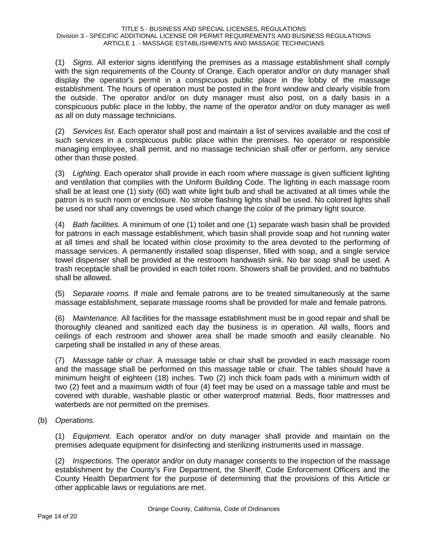(1) *Signs.* All exterior signs identifying the premises as a massage establishment shall comply with the sign requirements of the County of Orange. Each operator and/or on duty manager shall display the operator's permit in a conspicuous public place in the lobby of the massage establishment. The hours of operation must be posted in the front window and clearly visible from the outside. The operator and/or on duty manager must also post, on a daily basis in a conspicuous public place in the lobby, the name of the operator and/or on duty manager as well as all on duty massage technicians.

(2) *Services list.* Each operator shall post and maintain a list of services available and the cost of such services in a conspicuous public place within the premises. No operator or responsible managing employee, shall permit, and no massage technician shall offer or perform, any service other than those posted.

(3) *Lighting.* Each operator shall provide in each room where massage is given sufficient lighting and ventilation that complies with the Uniform Building Code. The lighting in each massage room shall be at least one (1) sixty (60) watt white light bulb and shall be activated at all times while the patron is in such room or enclosure. No strobe flashing lights shall be used. No colored lights shall be used nor shall any coverings be used which change the color of the primary light source.

(4) *Bath facilities.* A minimum of one (1) toilet and one (1) separate wash basin shall be provided for patrons in each massage establishment, which basin shall provide soap and hot running water at all times and shall be located within close proximity to the area devoted to the performing of massage services. A permanently installed soap dispenser, filled with soap, and a single service towel dispenser shall be provided at the restroom handwash sink. No bar soap shall be used. A trash receptacle shall be provided in each toilet room. Showers shall be provided, and no bathtubs shall be allowed.

(5) *Separate rooms.* If male and female patrons are to be treated simultaneously at the same massage establishment, separate massage rooms shall be provided for male and female patrons.

(6) *Maintenance.* All facilities for the massage establishment must be in good repair and shall be thoroughly cleaned and sanitized each day the business is in operation. All walls, floors and ceilings of each restroom and shower area shall be made smooth and easily cleanable. No carpeting shall be installed in any of these areas.

(7) *Massage table or chair.* A massage table or chair shall be provided in each massage room and the massage shall be performed on this massage table or chair. The tables should have a minimum height of eighteen (18) inches. Two (2) inch thick foam pads with a minimum width of two (2) feet and a maximum width of four (4) feet may be used on a massage table and must be covered with durable, washable plastic or other waterproof material. Beds, floor mattresses and waterbeds are not permitted on the premises.

(b) *Operations.*

(1) *Equipment.* Each operator and/or on duty manager shall provide and maintain on the premises adequate equipment for disinfecting and sterilizing instruments used in massage.

(2) *Inspections.* The operator and/or on duty manager consents to the inspection of the massage establishment by the County's Fire Department, the Sheriff, Code Enforcement Officers and the County Health Department for the purpose of determining that the provisions of this Article or other applicable laws or regulations are met.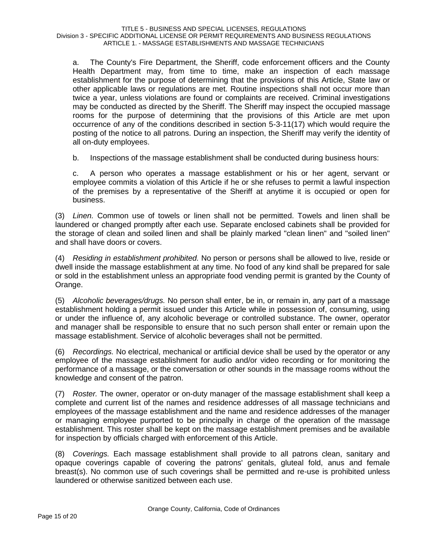a. The County's Fire Department, the Sheriff, code enforcement officers and the County Health Department may, from time to time, make an inspection of each massage establishment for the purpose of determining that the provisions of this Article, State law or other applicable laws or regulations are met. Routine inspections shall not occur more than twice a year, unless violations are found or complaints are received. Criminal investigations may be conducted as directed by the Sheriff. The Sheriff may inspect the occupied massage rooms for the purpose of determining that the provisions of this Article are met upon occurrence of any of the conditions described in section 5-3-11(17) which would require the posting of the notice to all patrons. During an inspection, the Sheriff may verify the identity of all on-duty employees.

b. Inspections of the massage establishment shall be conducted during business hours:

c. A person who operates a massage establishment or his or her agent, servant or employee commits a violation of this Article if he or she refuses to permit a lawful inspection of the premises by a representative of the Sheriff at anytime it is occupied or open for business.

(3) *Linen.* Common use of towels or linen shall not be permitted. Towels and linen shall be laundered or changed promptly after each use. Separate enclosed cabinets shall be provided for the storage of clean and soiled linen and shall be plainly marked "clean linen" and "soiled linen" and shall have doors or covers.

(4) *Residing in establishment prohibited.* No person or persons shall be allowed to live, reside or dwell inside the massage establishment at any time. No food of any kind shall be prepared for sale or sold in the establishment unless an appropriate food vending permit is granted by the County of Orange.

(5) *Alcoholic beverages/drugs.* No person shall enter, be in, or remain in, any part of a massage establishment holding a permit issued under this Article while in possession of, consuming, using or under the influence of, any alcoholic beverage or controlled substance. The owner, operator and manager shall be responsible to ensure that no such person shall enter or remain upon the massage establishment. Service of alcoholic beverages shall not be permitted.

(6) *Recordings.* No electrical, mechanical or artificial device shall be used by the operator or any employee of the massage establishment for audio and/or video recording or for monitoring the performance of a massage, or the conversation or other sounds in the massage rooms without the knowledge and consent of the patron.

(7) *Roster.* The owner, operator or on-duty manager of the massage establishment shall keep a complete and current list of the names and residence addresses of all massage technicians and employees of the massage establishment and the name and residence addresses of the manager or managing employee purported to be principally in charge of the operation of the massage establishment. This roster shall be kept on the massage establishment premises and be available for inspection by officials charged with enforcement of this Article.

(8) *Coverings.* Each massage establishment shall provide to all patrons clean, sanitary and opaque coverings capable of covering the patrons' genitals, gluteal fold, anus and female breast(s). No common use of such coverings shall be permitted and re-use is prohibited unless laundered or otherwise sanitized between each use.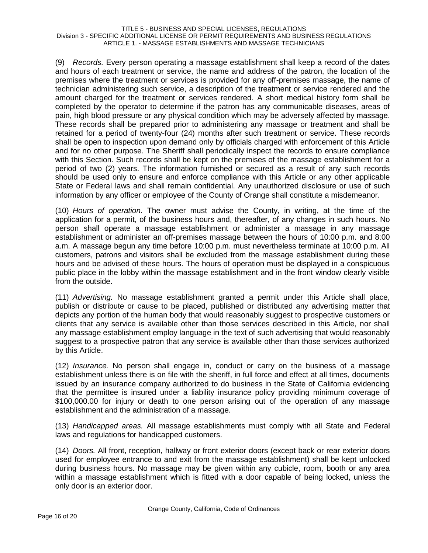(9) *Records.* Every person operating a massage establishment shall keep a record of the dates and hours of each treatment or service, the name and address of the patron, the location of the premises where the treatment or services is provided for any off-premises massage, the name of technician administering such service, a description of the treatment or service rendered and the amount charged for the treatment or services rendered. A short medical history form shall be completed by the operator to determine if the patron has any communicable diseases, areas of pain, high blood pressure or any physical condition which may be adversely affected by massage. These records shall be prepared prior to administering any massage or treatment and shall be retained for a period of twenty-four (24) months after such treatment or service. These records shall be open to inspection upon demand only by officials charged with enforcement of this Article and for no other purpose. The Sheriff shall periodically inspect the records to ensure compliance with this Section. Such records shall be kept on the premises of the massage establishment for a period of two (2) years. The information furnished or secured as a result of any such records should be used only to ensure and enforce compliance with this Article or any other applicable State or Federal laws and shall remain confidential. Any unauthorized disclosure or use of such information by any officer or employee of the County of Orange shall constitute a misdemeanor.

(10) *Hours of operation.* The owner must advise the County, in writing, at the time of the application for a permit, of the business hours and, thereafter, of any changes in such hours. No person shall operate a massage establishment or administer a massage in any massage establishment or administer an off-premises massage between the hours of 10:00 p.m. and 8:00 a.m. A massage begun any time before 10:00 p.m. must nevertheless terminate at 10:00 p.m. All customers, patrons and visitors shall be excluded from the massage establishment during these hours and be advised of these hours. The hours of operation must be displayed in a conspicuous public place in the lobby within the massage establishment and in the front window clearly visible from the outside.

(11) *Advertising.* No massage establishment granted a permit under this Article shall place, publish or distribute or cause to be placed, published or distributed any advertising matter that depicts any portion of the human body that would reasonably suggest to prospective customers or clients that any service is available other than those services described in this Article, nor shall any massage establishment employ language in the text of such advertising that would reasonably suggest to a prospective patron that any service is available other than those services authorized by this Article.

(12) *Insurance.* No person shall engage in, conduct or carry on the business of a massage establishment unless there is on file with the sheriff, in full force and effect at all times, documents issued by an insurance company authorized to do business in the State of California evidencing that the permittee is insured under a liability insurance policy providing minimum coverage of \$100,000.00 for injury or death to one person arising out of the operation of any massage establishment and the administration of a massage.

(13) *Handicapped areas.* All massage establishments must comply with all State and Federal laws and regulations for handicapped customers.

(14) *Doors.* All front, reception, hallway or front exterior doors (except back or rear exterior doors used for employee entrance to and exit from the massage establishment) shall be kept unlocked during business hours. No massage may be given within any cubicle, room, booth or any area within a massage establishment which is fitted with a door capable of being locked, unless the only door is an exterior door.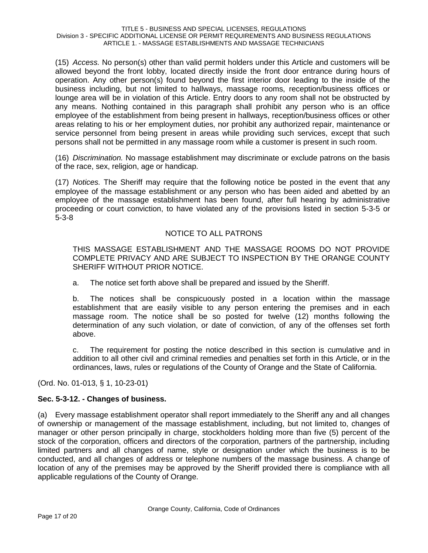(15) *Access.* No person(s) other than valid permit holders under this Article and customers will be allowed beyond the front lobby, located directly inside the front door entrance during hours of operation. Any other person(s) found beyond the first interior door leading to the inside of the business including, but not limited to hallways, massage rooms, reception/business offices or lounge area will be in violation of this Article. Entry doors to any room shall not be obstructed by any means. Nothing contained in this paragraph shall prohibit any person who is an office employee of the establishment from being present in hallways, reception/business offices or other areas relating to his or her employment duties, nor prohibit any authorized repair, maintenance or service personnel from being present in areas while providing such services, except that such persons shall not be permitted in any massage room while a customer is present in such room.

(16) *Discrimination.* No massage establishment may discriminate or exclude patrons on the basis of the race, sex, religion, age or handicap.

(17) *Notices.* The Sheriff may require that the following notice be posted in the event that any employee of the massage establishment or any person who has been aided and abetted by an employee of the massage establishment has been found, after full hearing by administrative proceeding or court conviction, to have violated any of the provisions listed in section 5-3-5 or 5-3-8

# NOTICE TO ALL PATRONS

THIS MASSAGE ESTABLISHMENT AND THE MASSAGE ROOMS DO NOT PROVIDE COMPLETE PRIVACY AND ARE SUBJECT TO INSPECTION BY THE ORANGE COUNTY SHERIFF WITHOUT PRIOR NOTICE.

a. The notice set forth above shall be prepared and issued by the Sheriff.

b. The notices shall be conspicuously posted in a location within the massage establishment that are easily visible to any person entering the premises and in each massage room. The notice shall be so posted for twelve (12) months following the determination of any such violation, or date of conviction, of any of the offenses set forth above.

c. The requirement for posting the notice described in this section is cumulative and in addition to all other civil and criminal remedies and penalties set forth in this Article, or in the ordinances, laws, rules or regulations of the County of Orange and the State of California.

(Ord. No. 01-013, § 1, 10-23-01)

# **Sec. 5-3-12. - Changes of business.**

(a) Every massage establishment operator shall report immediately to the Sheriff any and all changes of ownership or management of the massage establishment, including, but not limited to, changes of manager or other person principally in charge, stockholders holding more than five (5) percent of the stock of the corporation, officers and directors of the corporation, partners of the partnership, including limited partners and all changes of name, style or designation under which the business is to be conducted, and all changes of address or telephone numbers of the massage business. A change of location of any of the premises may be approved by the Sheriff provided there is compliance with all applicable regulations of the County of Orange.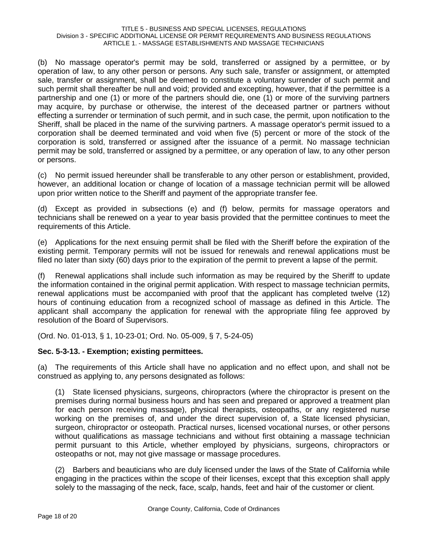(b) No massage operator's permit may be sold, transferred or assigned by a permittee, or by operation of law, to any other person or persons. Any such sale, transfer or assignment, or attempted sale, transfer or assignment, shall be deemed to constitute a voluntary surrender of such permit and such permit shall thereafter be null and void; provided and excepting, however, that if the permittee is a partnership and one (1) or more of the partners should die, one (1) or more of the surviving partners may acquire, by purchase or otherwise, the interest of the deceased partner or partners without effecting a surrender or termination of such permit, and in such case, the permit, upon notification to the Sheriff, shall be placed in the name of the surviving partners. A massage operator's permit issued to a corporation shall be deemed terminated and void when five (5) percent or more of the stock of the corporation is sold, transferred or assigned after the issuance of a permit. No massage technician permit may be sold, transferred or assigned by a permittee, or any operation of law, to any other person or persons.

(c) No permit issued hereunder shall be transferable to any other person or establishment, provided, however, an additional location or change of location of a massage technician permit will be allowed upon prior written notice to the Sheriff and payment of the appropriate transfer fee.

(d) Except as provided in subsections (e) and (f) below, permits for massage operators and technicians shall be renewed on a year to year basis provided that the permittee continues to meet the requirements of this Article.

(e) Applications for the next ensuing permit shall be filed with the Sheriff before the expiration of the existing permit. Temporary permits will not be issued for renewals and renewal applications must be filed no later than sixty (60) days prior to the expiration of the permit to prevent a lapse of the permit.

(f) Renewal applications shall include such information as may be required by the Sheriff to update the information contained in the original permit application. With respect to massage technician permits, renewal applications must be accompanied with proof that the applicant has completed twelve (12) hours of continuing education from a recognized school of massage as defined in this Article. The applicant shall accompany the application for renewal with the appropriate filing fee approved by resolution of the Board of Supervisors.

(Ord. No. 01-013, § 1, 10-23-01; Ord. No. 05-009, § 7, 5-24-05)

# **Sec. 5-3-13. - Exemption; existing permittees.**

(a) The requirements of this Article shall have no application and no effect upon, and shall not be construed as applying to, any persons designated as follows:

(1) State licensed physicians, surgeons, chiropractors (where the chiropractor is present on the premises during normal business hours and has seen and prepared or approved a treatment plan for each person receiving massage), physical therapists, osteopaths, or any registered nurse working on the premises of, and under the direct supervision of, a State licensed physician, surgeon, chiropractor or osteopath. Practical nurses, licensed vocational nurses, or other persons without qualifications as massage technicians and without first obtaining a massage technician permit pursuant to this Article, whether employed by physicians, surgeons, chiropractors or osteopaths or not, may not give massage or massage procedures.

(2) Barbers and beauticians who are duly licensed under the laws of the State of California while engaging in the practices within the scope of their licenses, except that this exception shall apply solely to the massaging of the neck, face, scalp, hands, feet and hair of the customer or client.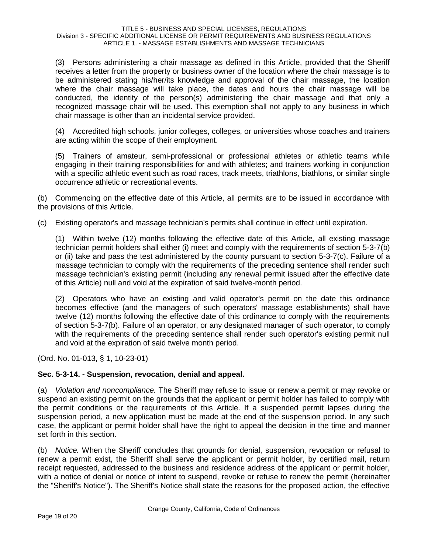(3) Persons administering a chair massage as defined in this Article, provided that the Sheriff receives a letter from the property or business owner of the location where the chair massage is to be administered stating his/her/its knowledge and approval of the chair massage, the location where the chair massage will take place, the dates and hours the chair massage will be conducted, the identity of the person(s) administering the chair massage and that only a recognized massage chair will be used. This exemption shall not apply to any business in which chair massage is other than an incidental service provided.

(4) Accredited high schools, junior colleges, colleges, or universities whose coaches and trainers are acting within the scope of their employment.

(5) Trainers of amateur, semi-professional or professional athletes or athletic teams while engaging in their training responsibilities for and with athletes; and trainers working in conjunction with a specific athletic event such as road races, track meets, triathlons, biathlons, or similar single occurrence athletic or recreational events.

(b) Commencing on the effective date of this Article, all permits are to be issued in accordance with the provisions of this Article.

(c) Existing operator's and massage technician's permits shall continue in effect until expiration.

(1) Within twelve (12) months following the effective date of this Article, all existing massage technician permit holders shall either (i) meet and comply with the requirements of section 5-3-7(b) or (ii) take and pass the test administered by the county pursuant to section 5-3-7(c). Failure of a massage technician to comply with the requirements of the preceding sentence shall render such massage technician's existing permit (including any renewal permit issued after the effective date of this Article) null and void at the expiration of said twelve-month period.

(2) Operators who have an existing and valid operator's permit on the date this ordinance becomes effective (and the managers of such operators' massage establishments) shall have twelve (12) months following the effective date of this ordinance to comply with the requirements of section 5-3-7(b). Failure of an operator, or any designated manager of such operator, to comply with the requirements of the preceding sentence shall render such operator's existing permit null and void at the expiration of said twelve month period.

(Ord. No. 01-013, § 1, 10-23-01)

# **Sec. 5-3-14. - Suspension, revocation, denial and appeal.**

(a) *Violation and noncompliance.* The Sheriff may refuse to issue or renew a permit or may revoke or suspend an existing permit on the grounds that the applicant or permit holder has failed to comply with the permit conditions or the requirements of this Article. If a suspended permit lapses during the suspension period, a new application must be made at the end of the suspension period. In any such case, the applicant or permit holder shall have the right to appeal the decision in the time and manner set forth in this section.

(b) *Notice.* When the Sheriff concludes that grounds for denial, suspension, revocation or refusal to renew a permit exist, the Sheriff shall serve the applicant or permit holder, by certified mail, return receipt requested, addressed to the business and residence address of the applicant or permit holder, with a notice of denial or notice of intent to suspend, revoke or refuse to renew the permit (hereinafter the "Sheriff's Notice"). The Sheriff's Notice shall state the reasons for the proposed action, the effective